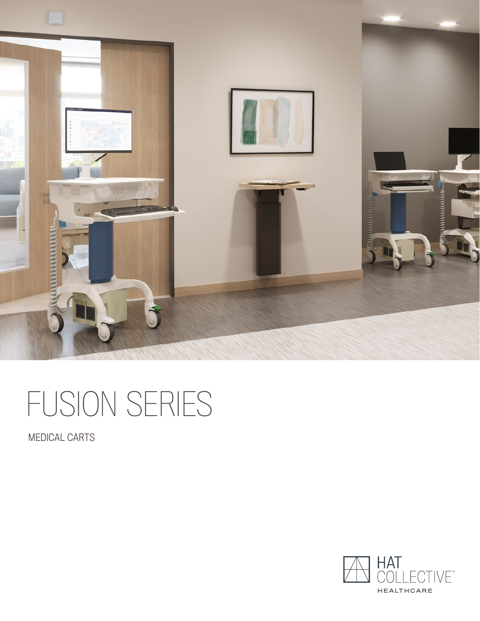

# FUSION SERIES

MEDICAL CARTS

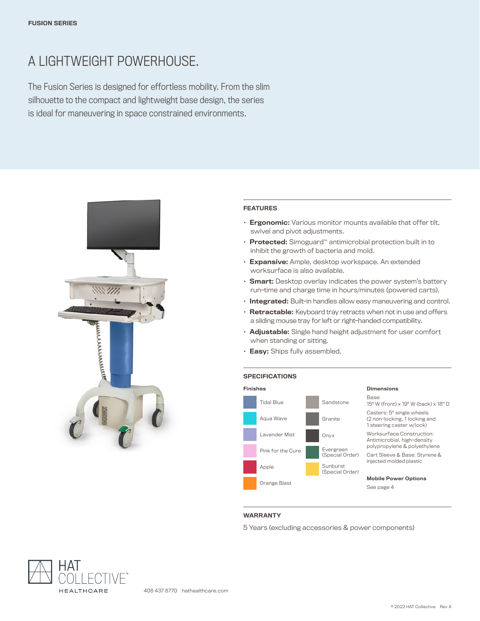# A LIGHTWEIGHT POWERHOUSE.

The Fusion Series is designed for effortless mobility. From the slim silhouette to the compact and lightweight base design, the series is ideal for maneuvering in space constrained environments.



#### FEATURES

- Ergonomic: Various monitor mounts available that offer tilt, swivel and pivot adjustments.
- Protected: Simoguard™ antimicrobial protection built in to inhibit the growth of bacteria and mold.
- Expansive: Ample, desktop workspace. An extended worksurface is also available.
- Smart: Desktop overlay indicates the power system's battery run-time and charge time in hours/minutes (powered carts).
- Integrated: Built-in handles allow easy maneuvering and control.
- Retractable: Keyboard tray retracts when not in use and offers a sliding mouse tray for left or right-handed compatibility.
- **Adjustable:** Single hand height adjustment for user comfort when standing or sitting.
- Easy: Ships fully assembled.

#### **SPECIFICATIONS**



#### WARRANTY

5 Years (excluding accessories & power components)

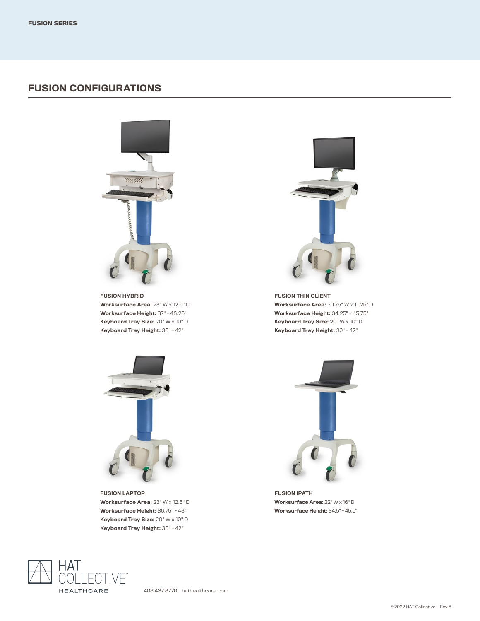### FUSION CONFIGURATIONS



FUSION HYBRID Worksurface Area: 23" W x 12.5" D Worksurface Height: 37" - 48.25" Keyboard Tray Size: 20" W x 10" D Keyboard Tray Height: 30" - 42"



FUSION LAPTOP Worksurface Area: 23" W x 12.5" D Worksurface Height: 36.75" - 48" Keyboard Tray Size: 20" W x 10" D Keyboard Tray Height: 30" - 42"



FUSION THIN CLIENT Worksurface Area: 20.75" W x 11.25" D Worksurface Height: 34.25" - 45.75" Keyboard Tray Size: 20" W x 10" D Keyboard Tray Height: 30" - 42"



FUSION IPATH Worksurface Area: 22" W x 16" D Worksurface Height: 34.5" - 45.5"



408 437 8770 hathealthcare.com